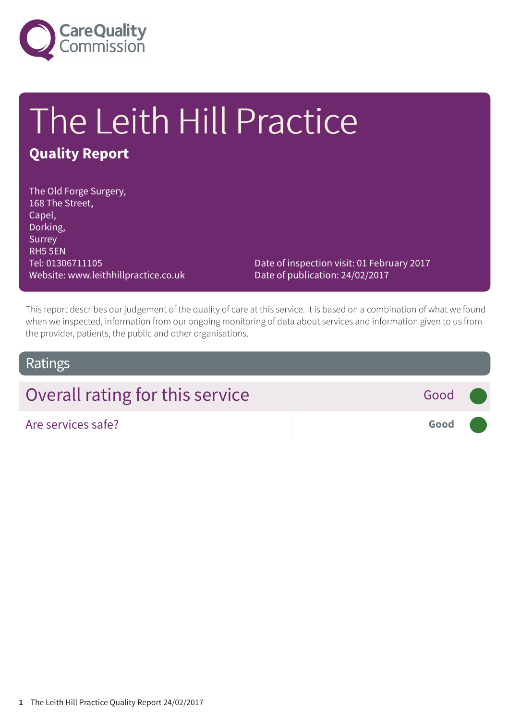

# The Leith Hill Practice

### **Quality Report**

The Old Forge Surgery, 168 The Street, Capel, Dorking, Surrey RH5 5EN Tel: 01306711105 Website: www.leithhillpractice.co.uk

Date of inspection visit: 01 February 2017 Date of publication: 24/02/2017

This report describes our judgement of the quality of care at this service. It is based on a combination of what we found when we inspected, information from our ongoing monitoring of data about services and information given to us from the provider, patients, the public and other organisations.

### Ratings

| Overall rating for this service | Good (              |  |
|---------------------------------|---------------------|--|
| Are services safe?              | Good <b>Company</b> |  |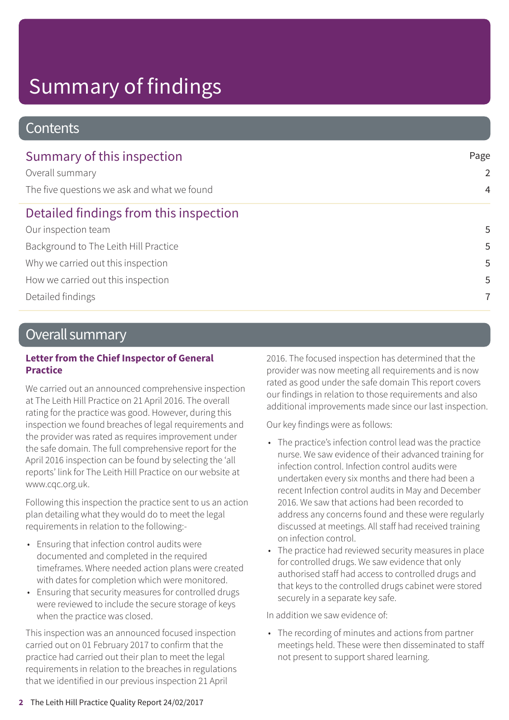# Summary of findings

### **Contents**

| Summary of this inspection                  | Page<br>2      |  |
|---------------------------------------------|----------------|--|
| Overall summary                             |                |  |
| The five questions we ask and what we found | $\overline{4}$ |  |
| Detailed findings from this inspection      |                |  |
| Our inspection team                         | 5              |  |
| Background to The Leith Hill Practice       | 5              |  |
| Why we carried out this inspection          | 5              |  |
| How we carried out this inspection          | 5              |  |
| Detailed findings                           | $\overline{7}$ |  |

### Overall summary

#### **Letter from the Chief Inspector of General Practice**

We carried out an announced comprehensive inspection at The Leith Hill Practice on 21 April 2016. The overall rating for the practice was good. However, during this inspection we found breaches of legal requirements and the provider was rated as requires improvement under the safe domain. The full comprehensive report for the April 2016 inspection can be found by selecting the 'all reports' link for The Leith Hill Practice on our website at www.cqc.org.uk.

Following this inspection the practice sent to us an action plan detailing what they would do to meet the legal requirements in relation to the following:-

- Ensuring that infection control audits were documented and completed in the required timeframes. Where needed action plans were created with dates for completion which were monitored.
- Ensuring that security measures for controlled drugs were reviewed to include the secure storage of keys when the practice was closed.

This inspection was an announced focused inspection carried out on 01 February 2017 to confirm that the practice had carried out their plan to meet the legal requirements in relation to the breaches in regulations that we identified in our previous inspection 21 April

2016. The focused inspection has determined that the provider was now meeting all requirements and is now rated as good under the safe domain This report covers our findings in relation to those requirements and also additional improvements made since our last inspection.

Our key findings were as follows:

- The practice's infection control lead was the practice nurse. We saw evidence of their advanced training for infection control. Infection control audits were undertaken every six months and there had been a recent Infection control audits in May and December 2016. We saw that actions had been recorded to address any concerns found and these were regularly discussed at meetings. All staff had received training on infection control.
- The practice had reviewed security measures in place for controlled drugs. We saw evidence that only authorised staff had access to controlled drugs and that keys to the controlled drugs cabinet were stored securely in a separate key safe.

In addition we saw evidence of:

• The recording of minutes and actions from partner meetings held. These were then disseminated to staff not present to support shared learning.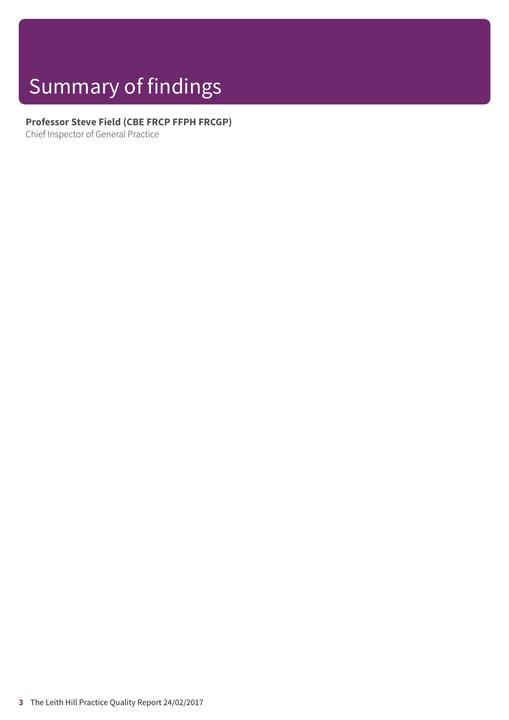# Summary of findings

### **Professor Steve Field (CBE FRCP FFPH FRCGP)**

Chief Inspector of General Practice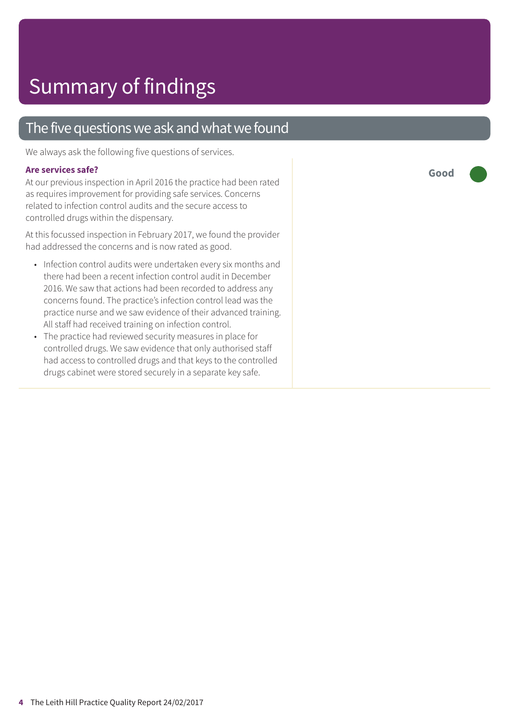### The five questions we ask and what we found

We always ask the following five questions of services.

#### **Are services safe?**

At our previous inspection in April 2016 the practice had been rated as requires improvement for providing safe services. Concerns related to infection control audits and the secure access to controlled drugs within the dispensary.

At this focussed inspection in February 2017, we found the provider had addressed the concerns and is now rated as good.

- Infection control audits were undertaken every six months and there had been a recent infection control audit in December 2016. We saw that actions had been recorded to address any concerns found. The practice's infection control lead was the practice nurse and we saw evidence of their advanced training. All staff had received training on infection control.
- The practice had reviewed security measures in place for controlled drugs. We saw evidence that only authorised staff had access to controlled drugs and that keys to the controlled drugs cabinet were stored securely in a separate key safe.

**Good –––**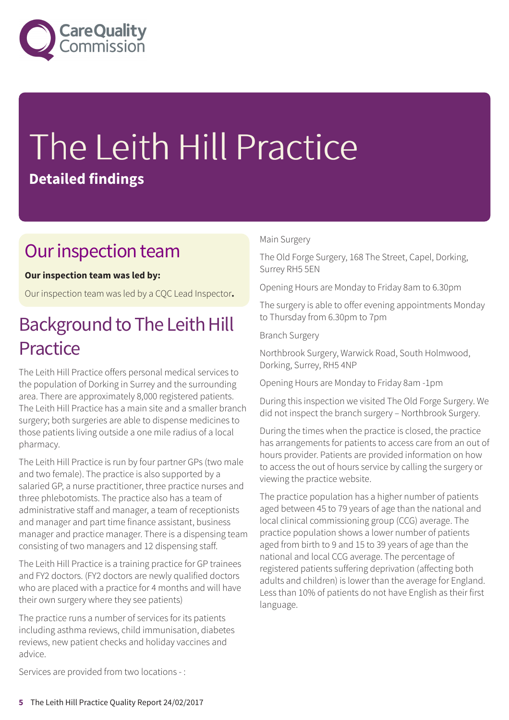

# The Leith Hill Practice **Detailed findings**

### Our inspection team

#### **Our inspection team was led by:**

Our inspection team was led by a CQC Lead Inspector**.**

### Background to The Leith Hill **Practice**

The Leith Hill Practice offers personal medical services to the population of Dorking in Surrey and the surrounding area. There are approximately 8,000 registered patients. The Leith Hill Practice has a main site and a smaller branch surgery; both surgeries are able to dispense medicines to those patients living outside a one mile radius of a local pharmacy.

The Leith Hill Practice is run by four partner GPs (two male and two female). The practice is also supported by a salaried GP, a nurse practitioner, three practice nurses and three phlebotomists. The practice also has a team of administrative staff and manager, a team of receptionists and manager and part time finance assistant, business manager and practice manager. There is a dispensing team consisting of two managers and 12 dispensing staff.

The Leith Hill Practice is a training practice for GP trainees and FY2 doctors. (FY2 doctors are newly qualified doctors who are placed with a practice for 4 months and will have their own surgery where they see patients)

The practice runs a number of services for its patients including asthma reviews, child immunisation, diabetes reviews, new patient checks and holiday vaccines and advice.

#### Main Surgery

The Old Forge Surgery, 168 The Street, Capel, Dorking, Surrey RH5 5EN

Opening Hours are Monday to Friday 8am to 6.30pm

The surgery is able to offer evening appointments Monday to Thursday from 6.30pm to 7pm

Branch Surgery

Northbrook Surgery, Warwick Road, South Holmwood, Dorking, Surrey, RH5 4NP

Opening Hours are Monday to Friday 8am -1pm

During this inspection we visited The Old Forge Surgery. We did not inspect the branch surgery – Northbrook Surgery.

During the times when the practice is closed, the practice has arrangements for patients to access care from an out of hours provider. Patients are provided information on how to access the out of hours service by calling the surgery or viewing the practice website.

The practice population has a higher number of patients aged between 45 to 79 years of age than the national and local clinical commissioning group (CCG) average. The practice population shows a lower number of patients aged from birth to 9 and 15 to 39 years of age than the national and local CCG average. The percentage of registered patients suffering deprivation (affecting both adults and children) is lower than the average for England. Less than 10% of patients do not have English as their first language.

Services are provided from two locations - :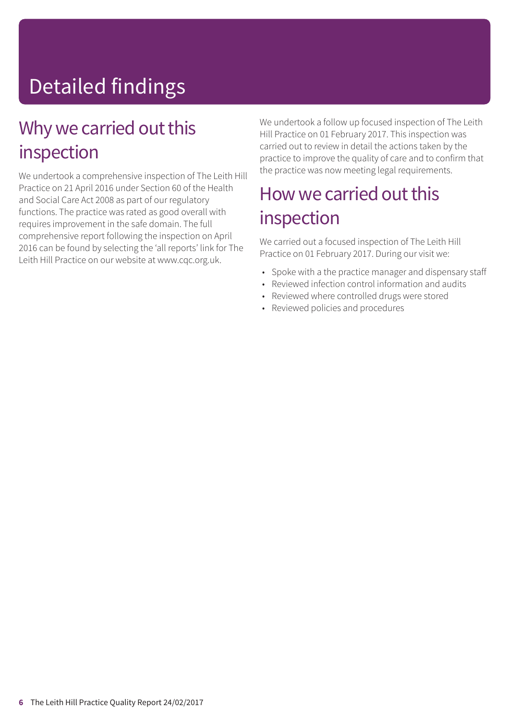# Detailed findings

### Why we carried out this inspection

We undertook a comprehensive inspection of The Leith Hill Practice on 21 April 2016 under Section 60 of the Health and Social Care Act 2008 as part of our regulatory functions. The practice was rated as good overall with requires improvement in the safe domain. The full comprehensive report following the inspection on April 2016 can be found by selecting the 'all reports' link for The Leith Hill Practice on our website at www.cqc.org.uk.

We undertook a follow up focused inspection of The Leith Hill Practice on 01 February 2017. This inspection was carried out to review in detail the actions taken by the practice to improve the quality of care and to confirm that the practice was now meeting legal requirements.

### How we carried out this inspection

We carried out a focused inspection of The Leith Hill Practice on 01 February 2017. During our visit we:

- Spoke with a the practice manager and dispensary staff
- Reviewed infection control information and audits
- Reviewed where controlled drugs were stored
- Reviewed policies and procedures